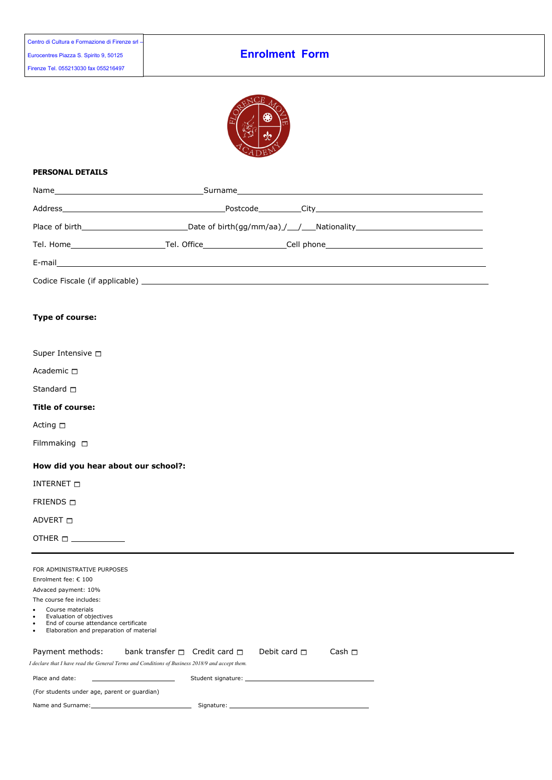# **Enrolment Form**



#### **PERSONAL DETAILS**

#### **Type of course:**

|  | Super Intensive $\square$ |  |
|--|---------------------------|--|
|  |                           |  |

Academic  $\square$ 

Standard  $\square$ 

#### **Title of course:**

Acting  $\square$ 

Filmmaking

### **How did you hear about our school?:**

INTERNET

FRIENDS **D** 

ADVERT

|  | <b>OTHER</b> |  |
|--|--------------|--|
|  |              |  |

| FOR ADMINISTRATIVE PURPOSES                                                                                                                            |                                                                                                                                                                                                                                |               |
|--------------------------------------------------------------------------------------------------------------------------------------------------------|--------------------------------------------------------------------------------------------------------------------------------------------------------------------------------------------------------------------------------|---------------|
| Enrolment fee: $\epsilon$ 100                                                                                                                          |                                                                                                                                                                                                                                |               |
| Advaced payment: 10%                                                                                                                                   |                                                                                                                                                                                                                                |               |
| The course fee includes:                                                                                                                               |                                                                                                                                                                                                                                |               |
| Course materials<br>Evaluation of objectives<br>٠<br>End of course attendance certificate<br>$\bullet$<br>Elaboration and preparation of material<br>٠ |                                                                                                                                                                                                                                |               |
| bank transfer $\Box$ Credit card $\Box$<br>Payment methods:                                                                                            | Debit card $\Box$                                                                                                                                                                                                              | Cash $\sqcap$ |
| I declare that I have read the General Terms and Conditions of Business 2018/9 and accept them.                                                        |                                                                                                                                                                                                                                |               |
| Place and date:                                                                                                                                        | Student signature: the contract of the contract of the contract of the contract of the contract of the contract of the contract of the contract of the contract of the contract of the contract of the contract of the contrac |               |
| (For students under age, parent or guardian)                                                                                                           |                                                                                                                                                                                                                                |               |
| Name and Surname: Name and Surname and Surname and Surname and Surname and Surname and Surname and Surname and                                         | Signature: the contract of the contract of the contract of the contract of the contract of the contract of the contract of the contract of the contract of the contract of the contract of the contract of the contract of the |               |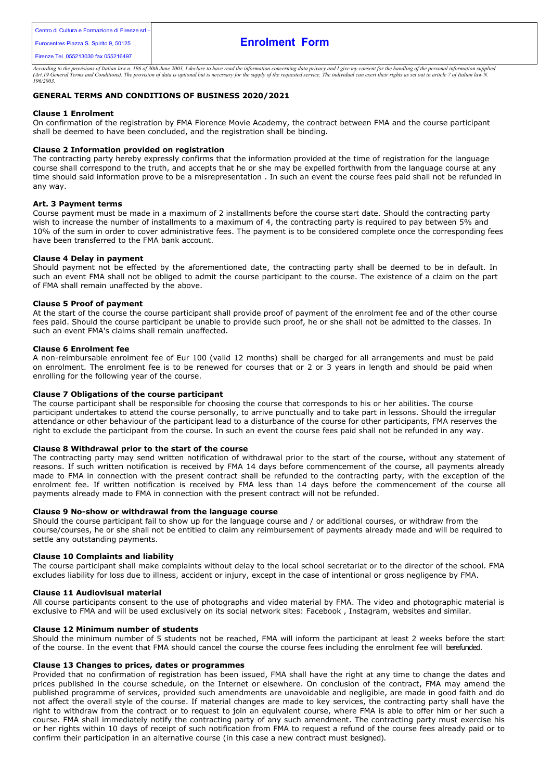Centro di Cultura e Formazione di Firenze srl –

Eurocentres Piazza S. Spirito 9, 50125

Firenze Tel. 055213030 fax 055216497

## **Enrolment Form**

*According to the provisions of Italian law n. 196 of 30th June 2003, I declare to have read the information concerning data privacy and I give my consent for the handling of the personal information supplied (Art.19 General Terms and Conditions). The provision of data is optional but is necessary for the supply of the requested service. The individual can exert their rights as set out in article 7 of Italian law N. 196/2003.*

#### **GENERAL TERMS AND CONDITIONS OF BUSINESS 2020/2021**

#### **Clause 1 Enrolment**

On confirmation of the registration by FMA Florence Movie Academy, the contract between FMA and the course participant shall be deemed to have been concluded, and the registration shall be binding.

#### **Clause 2 Information provided on registration**

The contracting party hereby expressly confirms that the information provided at the time of registration for the language course shall correspond to the truth, and accepts that he or she may be expelled forthwith from the language course at any time should said information prove to be a misrepresentation . In such an event the course fees paid shall not be refunded in any way.

#### **Art. 3 Payment terms**

Course payment must be made in a maximum of 2 installments before the course start date. Should the contracting party wish to increase the number of installments to a maximum of 4, the contracting party is required to pay between 5% and 10% of the sum in order to cover administrative fees. The payment is to be considered complete once the corresponding fees have been transferred to the FMA bank account.

#### **Clause 4 Delay in payment**

Should payment not be effected by the aforementioned date, the contracting party shall be deemed to be in default. In such an event FMA shall not be obliged to admit the course participant to the course. The existence of a claim on the part of FMA shall remain unaffected by the above.

#### **Clause 5 Proof of payment**

At the start of the course the course participant shall provide proof of payment of the enrolment fee and of the other course fees paid. Should the course participant be unable to provide such proof, he or she shall not be admitted to the classes. In such an event FMA's claims shall remain unaffected.

#### **Clause 6 Enrolment fee**

A non-reimbursable enrolment fee of Eur 100 (valid 12 months) shall be charged for all arrangements and must be paid on enrolment. The enrolment fee is to be renewed for courses that or 2 or 3 years in length and should be paid when enrolling for the following year of the course.

#### **Clause 7 Obligations of the course participant**

The course participant shall be responsible for choosing the course that corresponds to his or her abilities. The course participant undertakes to attend the course personally, to arrive punctually and to take part in lessons. Should the irregular attendance or other behaviour of the participant lead to a disturbance of the course for other participants, FMA reserves the right to exclude the participant from the course. In such an event the course fees paid shall not be refunded in any way.

#### **Clause 8 Withdrawal prior to the start of the course**

The contracting party may send written notification of withdrawal prior to the start of the course, without any statement of reasons. If such written notification is received by FMA 14 days before commencement of the course, all payments already made to FMA in connection with the present contract shall be refunded to the contracting party, with the exception of the enrolment fee. If written notification is received by FMA less than 14 days before the commencement of the course all payments already made to FMA in connection with the present contract will not be refunded.

#### **Clause 9 No-show or withdrawal from the language course**

Should the course participant fail to show up for the language course and / or additional courses, or withdraw from the course/courses, he or she shall not be entitled to claim any reimbursement of payments already made and will be required to settle any outstanding payments.

#### **Clause 10 Complaints and liability**

The course participant shall make complaints without delay to the local school secretariat or to the director of the school. FMA excludes liability for loss due to illness, accident or injury, except in the case of intentional or gross negligence by FMA.

#### **Clause 11 Audiovisual material**

All course participants consent to the use of photographs and video material by FMA. The video and photographic material is exclusive to FMA and will be used exclusively on its social network sites: Facebook , Instagram, websites and similar.

#### **Clause 12 Minimum number of students**

Should the minimum number of 5 students not be reached, FMA will inform the participant at least 2 weeks before the start of the course. In the event that FMA should cancel the course the course fees including the enrolment fee will berefunded.

#### **Clause 13 Changes to prices, dates or programmes**

Provided that no confirmation of registration has been issued, FMA shall have the right at any time to change the dates and prices published in the course schedule, on the Internet or elsewhere. On conclusion of the contract, FMA may amend the published programme of services, provided such amendments are unavoidable and negligible, are made in good faith and do not affect the overall style of the course. If material changes are made to key services, the contracting party shall have the right to withdraw from the contract or to request to join an equivalent course, where FMA is able to offer him or her such a course. FMA shall immediately notify the contracting party of any such amendment. The contracting party must exercise his or her rights within 10 days of receipt of such notification from FMA to request a refund of the course fees already paid or to confirm their participation in an alternative course (in this case a new contract must besigned).